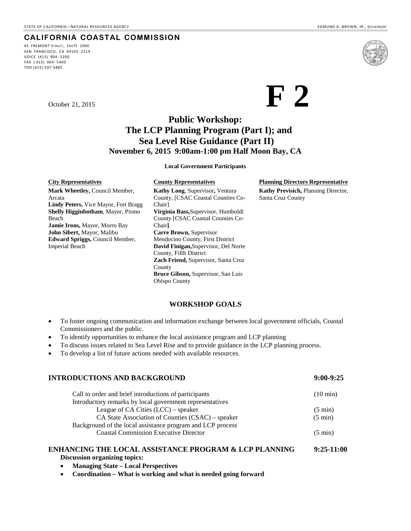## **CALIFORNIA COASTAL COMMISSION**

45 FREMONT STREET, SUITE 2000 SAN FRANCISCO, CA 94105- 2219 VOICE (415) 904- 5200 FAX ( 415) 904- 5400 TDD (415) 597-5885



October 21, 2015

# **Public Workshop: The LCP Planning Program (Part I); and Sea Level Rise Guidance (Part II) November 6, 2015 9:00am-1:00 pm Half Moon Bay, CA**

**Local Government Participants**

### **City Representatives County Representatives Planning Directors Representative Mark Wheetley,** Council Member, Arcata **Lindy Peters,** Vice Mayor, Fort Bragg **Shelly Higginbotham**, Mayor, Pismo Beach **Jamie Irons,** Mayor, Morro Bay **John Sibert,** Mayor, Malibu **Edward Spriggs,** Council Member, Imperial Beach

**Kathy Long**, Supervisor**,** Ventura County, [CSAC Coastal Counties Co-Chair] **Virginia Bass,**Supervisor, Humboldt County [CSAC Coastal Counties Co-Chair**] Carre Brown,** Supervisor Mendocino County, First District **David Finigan,**Supervisor, Del Norte County, Fifth District **Zach Friend,** Supervisor, Santa Cruz County **Bruce Gibson,** Supervisor, San Luis Obispo County

**Kathy Previsich,** Planning Director, Santa Cruz County

### **WORKSHOP GOALS**

- To foster ongoing communication and information exchange between local government officials, Coastal Commissioners and the public.
- To identify opportunities to enhance the local assistance program and LCP planning
- To discuss issues related to Sea Level Rise and to provide guidance in the LCP planning process.
- To develop a list of future actions needed with available resources.

### **INTRODUCTIONS AND BACKGROUND 9:00-9:25**

| Call to order and brief introductions of participants      | $(10 \text{ min})$ |
|------------------------------------------------------------|--------------------|
| Introductory remarks by local government representatives   |                    |
| League of CA Cities $(LCC)$ – speaker                      | $(5 \text{ min})$  |
| CA State Association of Counties (CSAC) – speaker          | $(5 \text{ min})$  |
| Background of the local assistance program and LCP process |                    |
| <b>Coastal Commission Executive Director</b>               | $(5 \text{ min})$  |

### **ENHANCING THE LOCAL ASSISTANCE PROGRAM & LCP PLANNING 9:25-11:00**

**Discussion organizing topics:**

- **Managing State Local Perspectives**
- **Coordination What is working and what is needed going forward**